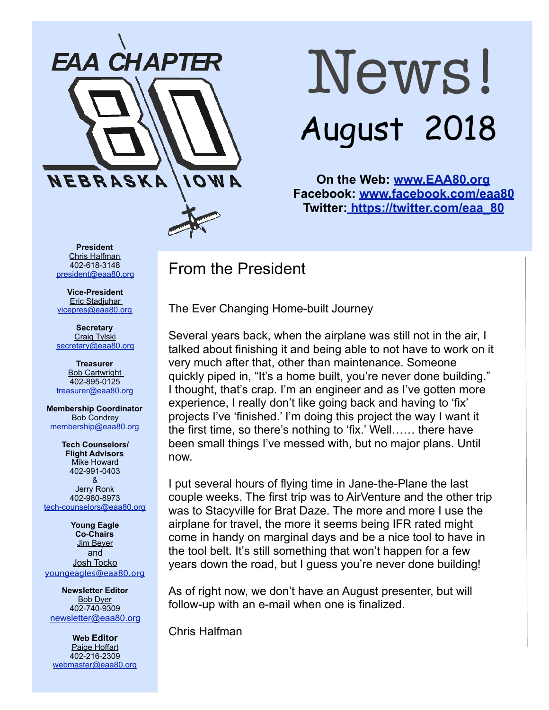

# News! August 2018

**On the Web: [www.EAA80.org](http://www.EAA80.org) Facebook: [www.facebook.com/eaa80](http://www.facebook.com/eaa80) Twitter[: https://twitter.com/eaa\\_80](https://twitter.com/eaa_80)**

**President**  Chris Halfman 402-618-3148 [president@eaa80.org](mailto:president@eaa80.org)

**Vice-President**  Eric Stadjuhar [vicepres@eaa80.org](mailto:vicepres@eaa80.org) 

**Secretary**  Craig Tylski [secretary@eaa80.org](mailto:secretary@eaa80.org)

**Treasurer**  Bob Cartwright 402-895-0125 [treasurer@eaa80.org](mailto:treasurer@eaa80.org)

**Membership Coordinator Bob Condrey** [membership@eaa80.org](mailto:membership@eaa80.org) 

**Tech Counselors/ Flight Advisors Mike Howard** 402-991-0403 & Jerry Ronk 402-980-8973 [tech-counselors@eaa80.org](mailto:tech-counselors@eaa80.org) 

**Young Eagle Co-Chairs**  Jim Beyer and Josh Tocko [youngeagles@eaa80.org](mailto:youngeagles@eaa80.org)

**Newsletter Editor**  Bob Dyer 402-740-9309 [newsletter@eaa80.org](mailto:newsletter@eaa80.org)

**Web Editor**  Paige Hoffart 402-216-2309 [webmaster@eaa80.org](mailto:webmaster@eaa80.org)

## From the President

The Ever Changing Home-built Journey

Several years back, when the airplane was still not in the air, I talked about finishing it and being able to not have to work on it very much after that, other than maintenance. Someone quickly piped in, "It's a home built, you're never done building." I thought, that's crap. I'm an engineer and as I've gotten more experience, I really don't like going back and having to 'fix' projects I've 'finished.' I'm doing this project the way I want it the first time, so there's nothing to 'fix.' Well…… there have been small things I've messed with, but no major plans. Until now.

I put several hours of flying time in Jane-the-Plane the last couple weeks. The first trip was to AirVenture and the other trip was to Stacyville for Brat Daze. The more and more I use the airplane for travel, the more it seems being IFR rated might come in handy on marginal days and be a nice tool to have in the tool belt. It's still something that won't happen for a few years down the road, but I guess you're never done building!

As of right now, we don't have an August presenter, but will follow-up with an e-mail when one is finalized.

Chris Halfman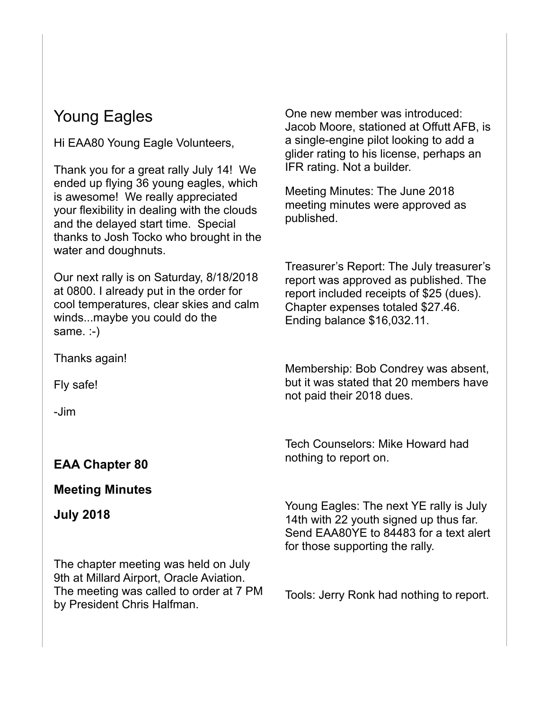# Young Eagles

Hi EAA80 Young Eagle Volunteers,

Thank you for a great rally July 14! We ended up flying 36 young eagles, which is awesome! We really appreciated your flexibility in dealing with the clouds and the delayed start time. Special thanks to Josh Tocko who brought in the water and doughnuts.

Our next rally is on Saturday, 8/18/2018 at 0800. I already put in the order for cool temperatures, clear skies and calm winds...maybe you could do the same. :-)

Thanks again!

Fly safe!

-Jim

### **EAA Chapter 80**

#### **Meeting Minutes**

**July 2018** 

The chapter meeting was held on July 9th at Millard Airport, Oracle Aviation. The meeting was called to order at 7 PM by President Chris Halfman.

One new member was introduced: Jacob Moore, stationed at Offutt AFB, is a single-engine pilot looking to add a glider rating to his license, perhaps an IFR rating. Not a builder.

Meeting Minutes: The June 2018 meeting minutes were approved as published.

Treasurer's Report: The July treasurer's report was approved as published. The report included receipts of \$25 (dues). Chapter expenses totaled \$27.46. Ending balance \$16,032.11.

Membership: Bob Condrey was absent, but it was stated that 20 members have not paid their 2018 dues.

Tech Counselors: Mike Howard had nothing to report on.

Young Eagles: The next YE rally is July 14th with 22 youth signed up thus far. Send EAA80YE to 84483 for a text alert for those supporting the rally.

Tools: Jerry Ronk had nothing to report.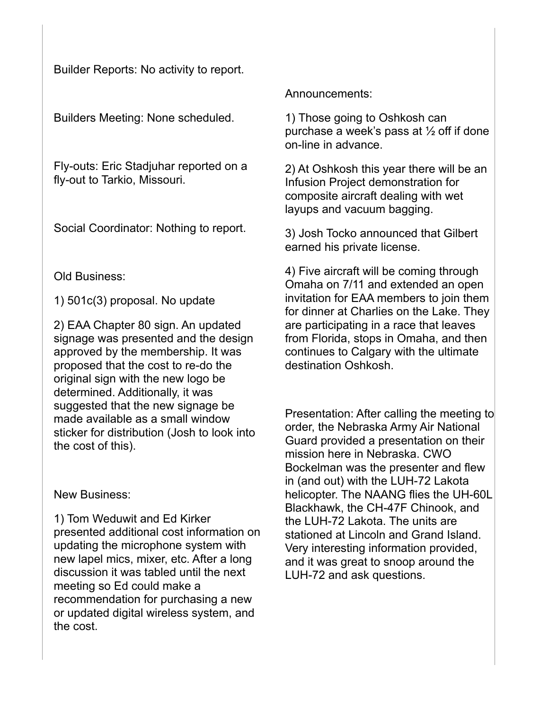Builder Reports: No activity to report.

Builders Meeting: None scheduled.

Fly-outs: Eric Stadjuhar reported on a fly-out to Tarkio, Missouri.

Social Coordinator: Nothing to report.

Old Business:

1) 501c(3) proposal. No update

2) EAA Chapter 80 sign. An updated signage was presented and the design approved by the membership. It was proposed that the cost to re-do the original sign with the new logo be determined. Additionally, it was suggested that the new signage be made available as a small window sticker for distribution (Josh to look into the cost of this).

New Business:

1) Tom Weduwit and Ed Kirker presented additional cost information on updating the microphone system with new lapel mics, mixer, etc. After a long discussion it was tabled until the next meeting so Ed could make a recommendation for purchasing a new or updated digital wireless system, and the cost.

Announcements:

1) Those going to Oshkosh can purchase a week's pass at  $\frac{1}{2}$  off if done on-line in advance.

2) At Oshkosh this year there will be an Infusion Project demonstration for composite aircraft dealing with wet layups and vacuum bagging.

3) Josh Tocko announced that Gilbert earned his private license.

4) Five aircraft will be coming through Omaha on 7/11 and extended an open invitation for EAA members to join them for dinner at Charlies on the Lake. They are participating in a race that leaves from Florida, stops in Omaha, and then continues to Calgary with the ultimate destination Oshkosh.

Presentation: After calling the meeting to order, the Nebraska Army Air National Guard provided a presentation on their mission here in Nebraska. CWO Bockelman was the presenter and flew in (and out) with the LUH-72 Lakota helicopter. The NAANG flies the UH-60L Blackhawk, the CH-47F Chinook, and the LUH-72 Lakota. The units are stationed at Lincoln and Grand Island. Very interesting information provided, and it was great to snoop around the LUH-72 and ask questions.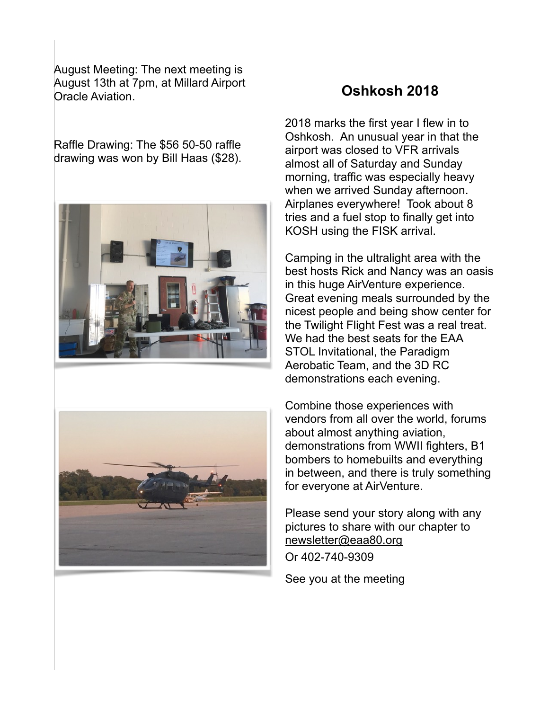August Meeting: The next meeting is August 13th at 7pm, at Millard Airport Oracle Aviation.

Raffle Drawing: The \$56 50-50 raffle drawing was won by Bill Haas (\$28).





### **Oshkosh 2018**

2018 marks the first year I flew in to Oshkosh. An unusual year in that the airport was closed to VFR arrivals almost all of Saturday and Sunday morning, traffic was especially heavy when we arrived Sunday afternoon. Airplanes everywhere! Took about 8 tries and a fuel stop to finally get into KOSH using the FISK arrival.

Camping in the ultralight area with the best hosts Rick and Nancy was an oasis in this huge AirVenture experience. Great evening meals surrounded by the nicest people and being show center for the Twilight Flight Fest was a real treat. We had the best seats for the EAA STOL Invitational, the Paradigm Aerobatic Team, and the 3D RC demonstrations each evening.

Combine those experiences with vendors from all over the world, forums about almost anything aviation, demonstrations from WWII fighters, B1 bombers to homebuilts and everything in between, and there is truly something for everyone at AirVenture.

Please send your story along with any pictures to share with our chapter to [newsletter@eaa80.org](mailto:newsletter@eaa80.org)

Or 402-740-9309

See you at the meeting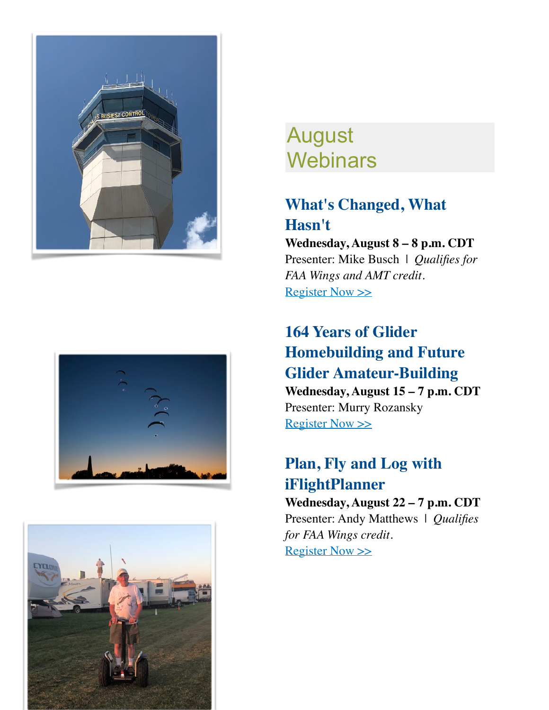





# August **Webinars**

# **What's Changed, What Hasn't**

**Wednesday, August 8 – 8 p.m. CDT** Presenter: Mike Busch | *Qualifies for FAA Wings and AMT credit.* [Register Now >>](http://go.eaa.org/eK1mEU03000ESb0V14vBH0O)

## **164 Years of Glider Homebuilding and Future Glider Amateur-Building Wednesday, August 15 – 7 p.m. CDT** Presenter: Murry Rozansky [Register Now >>](http://go.eaa.org/LV13UE0041Fb0SwmH0B0O0K)

# **Plan, Fly and Log with iFlightPlanner**

**Wednesday, August 22 – 7 p.m. CDT** Presenter: Andy Matthews | *Qualifies for FAA Wings credit.* [Register Now >>](http://go.eaa.org/F4mEB00Gx1S0H3bV000UOK1)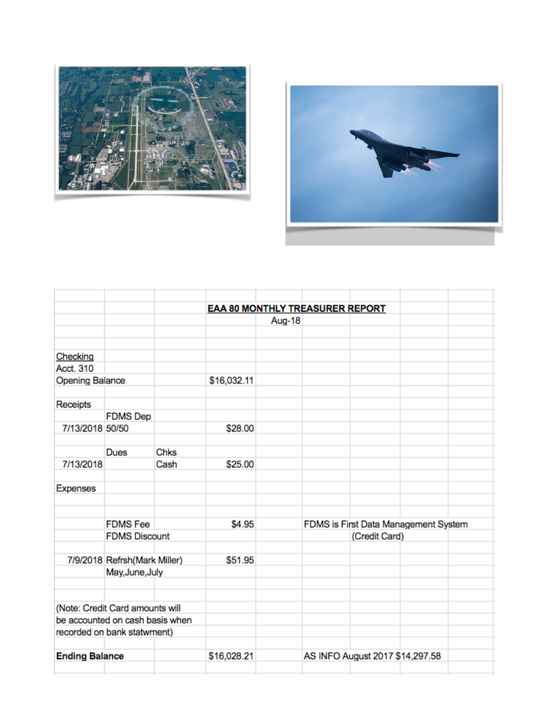



|                        |                                 |             | <b>EAA 80 MONTHLY TREASURER REPORT</b> |        |                                 |                                                       |  |  |
|------------------------|---------------------------------|-------------|----------------------------------------|--------|---------------------------------|-------------------------------------------------------|--|--|
|                        |                                 |             |                                        | Aug-18 |                                 |                                                       |  |  |
|                        |                                 |             |                                        |        |                                 |                                                       |  |  |
|                        |                                 |             |                                        |        |                                 |                                                       |  |  |
| Checking               |                                 |             |                                        |        |                                 |                                                       |  |  |
| Acct. 310              |                                 |             |                                        |        |                                 |                                                       |  |  |
| <b>Opening Balance</b> |                                 | \$16,032.11 |                                        |        |                                 |                                                       |  |  |
|                        |                                 |             |                                        |        |                                 |                                                       |  |  |
| Receipts               |                                 |             |                                        |        |                                 |                                                       |  |  |
|                        | <b>FDMS Dep</b>                 |             |                                        |        |                                 |                                                       |  |  |
| 7/13/2018 50/50        |                                 |             | \$28.00                                |        |                                 |                                                       |  |  |
|                        |                                 |             |                                        |        |                                 |                                                       |  |  |
|                        | Dues                            | Chks        |                                        |        |                                 |                                                       |  |  |
| 7/13/2018              |                                 | Cash        | \$25.00                                |        |                                 |                                                       |  |  |
| <b>Expenses</b>        |                                 |             |                                        |        |                                 |                                                       |  |  |
|                        |                                 |             |                                        |        |                                 |                                                       |  |  |
|                        | <b>FDMS</b> Fee                 |             | \$4.95                                 |        |                                 |                                                       |  |  |
|                        | <b>FDMS Discount</b>            |             |                                        |        |                                 | FDMS is First Data Management System<br>(Credit Card) |  |  |
|                        |                                 |             |                                        |        |                                 |                                                       |  |  |
|                        | 7/9/2018 Refrsh(Mark Miller)    |             | \$51.95                                |        |                                 |                                                       |  |  |
|                        | May, June, July                 |             |                                        |        |                                 |                                                       |  |  |
|                        |                                 |             |                                        |        |                                 |                                                       |  |  |
|                        | (Note: Credit Card amounts will |             |                                        |        |                                 |                                                       |  |  |
|                        | be accounted on cash basis when |             |                                        |        |                                 |                                                       |  |  |
|                        | recorded on bank statwment)     |             |                                        |        |                                 |                                                       |  |  |
|                        |                                 |             |                                        |        |                                 |                                                       |  |  |
| <b>Ending Balance</b>  |                                 |             | \$16,028.21                            |        | AS INFO August 2017 \$14,297.58 |                                                       |  |  |
|                        |                                 |             |                                        |        |                                 |                                                       |  |  |